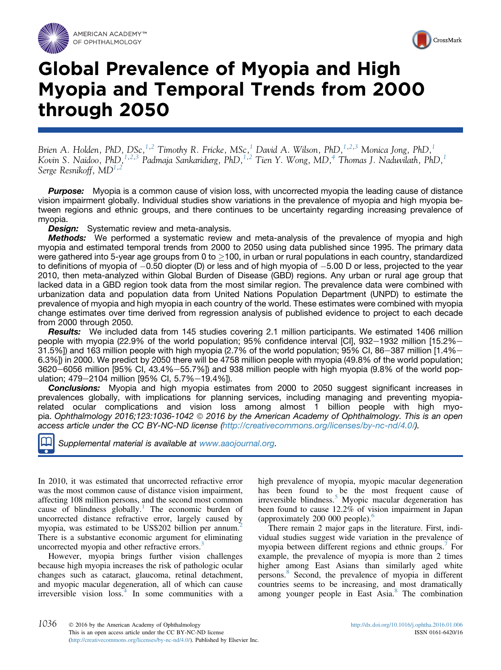



# Global Prevalence of Myopia and High Myopia and Temporal Trends from 2000 through 2050

Brien A. Holden, PhD, DSc,  $^{1,2}$  $^{1,2}$  $^{1,2}$  Timothy R. Fricke, MSc,  $^{1}$  David A. Wilson, PhD,  $^{1,2,3}$  $^{1,2,3}$  $^{1,2,3}$  Monica Jong, PhD,  $^{1}$ Kovin S. Naidoo, PhD, <sup>[1,2,3](#page-6-0)</sup> Padmaja Sankaridurg, PhD, <sup>[1,2](#page-6-0)</sup> Tien Y. Wong, MD, <sup>4</sup> Thomas J. Naduvilath, PhD, <sup>1</sup> Serge Resnikoff,  $MD^{1,2}$  $MD^{1,2}$  $MD^{1,2}$  $MD^{1,2}$  $MD^{1,2}$ 

**Purpose:** Myopia is a common cause of vision loss, with uncorrected myopia the leading cause of distance vision impairment globally. Individual studies show variations in the prevalence of myopia and high myopia between regions and ethnic groups, and there continues to be uncertainty regarding increasing prevalence of myopia.

**Design:** Systematic review and meta-analysis.

**Methods:** We performed a systematic review and meta-analysis of the prevalence of myopia and high myopia and estimated temporal trends from 2000 to 2050 using data published since 1995. The primary data were gathered into 5-year age groups from 0 to  $>$ 100, in urban or rural populations in each country, standardized to definitions of myopia of  $-0.50$  diopter (D) or less and of high myopia of  $-5.00$  D or less, projected to the year 2010, then meta-analyzed within Global Burden of Disease (GBD) regions. Any urban or rural age group that lacked data in a GBD region took data from the most similar region. The prevalence data were combined with urbanization data and population data from United Nations Population Department (UNPD) to estimate the prevalence of myopia and high myopia in each country of the world. These estimates were combined with myopia change estimates over time derived from regression analysis of published evidence to project to each decade from 2000 through 2050.

**Results:** We included data from 145 studies covering 2.1 million participants. We estimated 1406 million people with myopia (22.9% of the world population; 95% confidence interval [CI], 932–1932 million [15.2%– 31.5%]) and 163 million people with high myopia (2.7% of the world population; 95% CI, 86–387 million [1.4%– 6.3%]) in 2000. We predict by 2050 there will be 4758 million people with myopia (49.8% of the world population; 3620-6056 million [95% CI, 43.4%-55.7%]) and 938 million people with high myopia (9.8% of the world population; 479-2104 million [95% CI, 5.7%-19.4%]).

**Conclusions:** Myopia and high myopia estimates from 2000 to 2050 suggest significant increases in prevalences globally, with implications for planning services, including managing and preventing myopiarelated ocular complications and vision loss among almost 1 billion people with high myopia. Ophthalmology 2016;123:1036-1042 © 2016 by the American Academy of Ophthalmology. This is an open access article under the CC BY-NC-ND license [\(http://creativecommons.org/licenses/by-nc-nd/4.0/\)](http://creativecommons.org/licenses/by-nc-nd/4.0/).



Supplemental material is available at [www.aaojournal.org.](www.aaojournal.org)

In 2010, it was estimated that uncorrected refractive error was the most common cause of distance vision impairment, affecting 108 million persons, and the second most common cause of blindness globally.<sup>[1](#page-5-0)</sup> The economic burden of uncorrected distance refractive error, largely caused by myopia, was estimated to be US\$[2](#page-5-0)02 billion per annum.<sup>2</sup> There is a substantive economic argument for eliminating uncorrected myopia and other refractive errors.<sup>[3](#page-5-0)</sup>

However, myopia brings further vision challenges because high myopia increases the risk of pathologic ocular changes such as cataract, glaucoma, retinal detachment, and myopic macular degeneration, all of which can cause irreversible vision loss.<sup>[4](#page-5-0)</sup> In some communities with a high prevalence of myopia, myopic macular degeneration has been found to be the most frequent cause of irreversible blindness.<sup>[5](#page-5-0)</sup> Myopic macular degeneration has been found to cause 12.2% of vision impairment in Japan (approximately 200 000 people).<sup>[6](#page-5-0)</sup>

There remain 2 major gaps in the literature. First, individual studies suggest wide variation in the prevalence of myopia between different regions and ethnic groups.<sup>[7](#page-5-0)</sup> For example, the prevalence of myopia is more than 2 times higher among East Asians than similarly aged white persons.[8](#page-5-0) Second, the prevalence of myopia in different countries seems to be increasing, and most dramatically among younger people in East Asia.[8](#page-5-0) The combination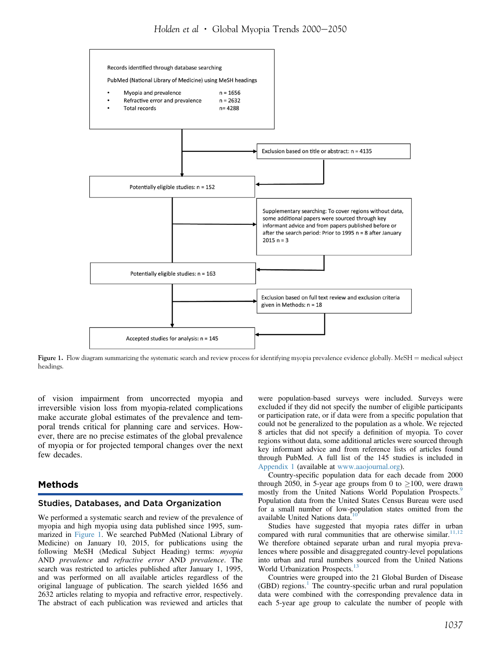

Figure 1. Flow diagram summarizing the systematic search and review process for identifying myopia prevalence evidence globally. MeSH = medical subject headings.

of vision impairment from uncorrected myopia and irreversible vision loss from myopia-related complications make accurate global estimates of the prevalence and temporal trends critical for planning care and services. However, there are no precise estimates of the global prevalence of myopia or for projected temporal changes over the next few decades.

### Methods

#### Studies, Databases, and Data Organization

We performed a systematic search and review of the prevalence of myopia and high myopia using data published since 1995, summarized in Figure 1. We searched PubMed (National Library of Medicine) on January 10, 2015, for publications using the following MeSH (Medical Subject Heading) terms: myopia AND prevalence and refractive error AND prevalence. The search was restricted to articles published after January 1, 1995, and was performed on all available articles regardless of the original language of publication. The search yielded 1656 and 2632 articles relating to myopia and refractive error, respectively. The abstract of each publication was reviewed and articles that

were population-based surveys were included. Surveys were excluded if they did not specify the number of eligible participants or participation rate, or if data were from a specific population that could not be generalized to the population as a whole. We rejected 8 articles that did not specify a definition of myopia. To cover regions without data, some additional articles were sourced through key informant advice and from reference lists of articles found through PubMed. A full list of the 145 studies is included in Appendix 1 (available at [www.aaojournal.org](http://www.aaojournal.org)).

Country-specific population data for each decade from 2000 through 2050, in 5-year age groups from 0 to  $\geq$ 100, were drawn mostly from the United Nations World Population Prospects.<sup>[9](#page-5-0)</sup> Population data from the United States Census Bureau were used for a small number of low-population states omitted from the available United Nations data.

Studies have suggested that myopia rates differ in urban compared with rural communities that are otherwise similar. $11,12$ We therefore obtained separate urban and rural myopia prevalences where possible and disaggregated country-level populations into urban and rural numbers sourced from the United Nations World Urbanization Prospects.<sup>1</sup>

Countries were grouped into the 21 Global Burden of Disease  $(GBD)$  regions.<sup>[1](#page-5-0)</sup> The country-specific urban and rural population data were combined with the corresponding prevalence data in each 5-year age group to calculate the number of people with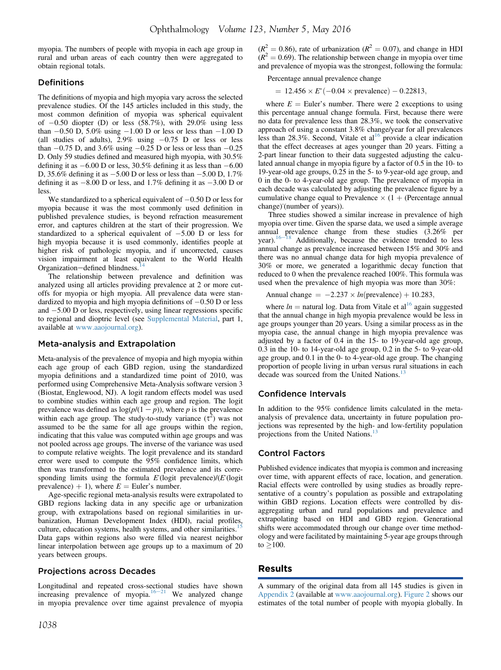myopia. The numbers of people with myopia in each age group in rural and urban areas of each country then were aggregated to obtain regional totals.

### **Definitions**

The definitions of myopia and high myopia vary across the selected prevalence studies. Of the 145 articles included in this study, the most common definition of myopia was spherical equivalent of  $-0.50$  diopter (D) or less (58.7%), with 29.0% using less than  $-0.50$  D, 5.0% using  $-1.00$  D or less or less than  $-1.00$  D (all studies of adults),  $2.9\%$  using  $-0.75$  D or less or less than  $-0.75$  D, and 3.6% using  $-0.25$  D or less or less than  $-0.25$ D. Only 59 studies defined and measured high myopia, with 30.5% defining it as  $-6.00$  D or less, 30.5% defining it as less than  $-6.00$ D, 35.6% defining it as  $-5.00$  D or less or less than  $-5.00$  D, 1.7% defining it as  $-8.00$  D or less, and 1.7% defining it as  $-3.00$  D or less.

We standardized to a spherical equivalent of  $-0.50$  D or less for myopia because it was the most commonly used definition in published prevalence studies, is beyond refraction measurement error, and captures children at the start of their progression. We standardized to a spherical equivalent of  $-5.00$  D or less for high myopia because it is used commonly, identifies people at higher risk of pathologic myopia, and if uncorrected, causes vision impairment at least equivalent to the World Health Organization-defined blindness.<sup>1</sup>

The relationship between prevalence and definition was analyzed using all articles providing prevalence at 2 or more cutoffs for myopia or high myopia. All prevalence data were standardized to myopia and high myopia definitions of  $-0.50$  D or less and  $-5.00$  D or less, respectively, using linear regressions specific to regional and dioptric level (see Supplemental Material, part 1, available at [www.aaojournal.org\)](http://www.aaojournal.org).

#### Meta-analysis and Extrapolation

Meta-analysis of the prevalence of myopia and high myopia within each age group of each GBD region, using the standardized myopia definitions and a standardized time point of 2010, was performed using Comprehensive Meta-Analysis software version 3 (Biostat, Englewood, NJ). A logit random effects model was used to combine studies within each age group and region. The logit prevalence was defined as  $log(p/(1-p))$ , where p is the prevalence within each age group. The study-to-study variance  $(\tau^2)$  was not assumed to be the same for all age groups within the region, indicating that this value was computed within age groups and was not pooled across age groups. The inverse of the variance was used to compute relative weights. The logit prevalence and its standard error were used to compute the 95% confidence limits, which then was transformed to the estimated prevalence and its corresponding limits using the formula  $E$  (logit prevalence)/( $E$  (logit prevalence) + 1), where  $E =$  Euler's number.

Age-specific regional meta-analysis results were extrapolated to GBD regions lacking data in any specific age or urbanization group, with extrapolations based on regional similarities in urbanization, Human Development Index (HDI), racial profiles, culture, education systems, health systems, and other similarities.<sup>[15](#page-6-0)</sup> Data gaps within regions also were filled via nearest neighbor linear interpolation between age groups up to a maximum of 20 years between groups.

#### Projections across Decades

Longitudinal and repeated cross-sectional studies have shown increasing prevalence of myopia.<sup>[16](#page-6-0)-[21](#page-6-0)</sup> We analyzed change in myopia prevalence over time against prevalence of myopia

 $(R^{2} = 0.86)$ , rate of urbanization  $(R^{2} = 0.07)$ , and change in HDI  $(R^2 = 0.69)$ . The relationship between change in myopia over time and prevalence of myopia was the strongest, following the formula:

Percentage annual prevalence change

 $= 12.456 \times E^*(-0.04 \times \text{prevalence}) - 0.22813,$ 

where  $E =$  Euler's number. There were 2 exceptions to using this percentage annual change formula. First, because there were no data for prevalence less than 28.3%, we took the conservative approach of using a constant 3.8% change/year for all prevalences less than  $28.3\%$ . Second, Vitale et al<sup>[16](#page-6-0)</sup> provide a clear indication that the effect decreases at ages younger than 20 years. Fitting a 2-part linear function to their data suggested adjusting the calculated annual change in myopia figure by a factor of 0.5 in the 10- to 19-year-old age groups, 0.25 in the 5- to 9-year-old age group, and 0 in the 0- to 4-year-old age group. The prevalence of myopia in each decade was calculated by adjusting the prevalence figure by a cumulative change equal to Prevalence  $\times$  (1 + (Percentage annual change) (number of years)).

Three studies showed a similar increase in prevalence of high myopia over time. Given the sparse data, we used a simple average annual prevalence change from these studies (3.26% per year). $16-18$  $16-18$  $16-18$  Additionally, because the evidence trended to less annual change as prevalence increased between 15% and 30% and there was no annual change data for high myopia prevalence of 30% or more, we generated a logarithmic decay function that reduced to 0 when the prevalence reached 100%. This formula was used when the prevalence of high myopia was more than 30%:

Annual change = 
$$
-2.237 \times ln(\text{prevalence}) + 10.283
$$
,

where  $ln =$  natural log. Data from Vitale et al<sup>[16](#page-6-0)</sup> again suggested that the annual change in high myopia prevalence would be less in age groups younger than 20 years. Using a similar process as in the myopia case, the annual change in high myopia prevalence was adjusted by a factor of 0.4 in the 15- to 19-year-old age group, 0.3 in the 10- to 14-year-old age group, 0.2 in the 5- to 9-year-old age group, and 0.1 in the 0- to 4-year-old age group. The changing proportion of people living in urban versus rural situations in each decade was sourced from the United Nations.<sup>1</sup>

#### Confidence Intervals

In addition to the 95% confidence limits calculated in the metaanalysis of prevalence data, uncertainty in future population projections was represented by the high- and low-fertility population projections from the United Nations.<sup>1</sup>

#### Control Factors

Published evidence indicates that myopia is common and increasing over time, with apparent effects of race, location, and generation. Racial effects were controlled by using studies as broadly representative of a country's population as possible and extrapolating within GBD regions. Location effects were controlled by disaggregating urban and rural populations and prevalence and extrapolating based on HDI and GBD region. Generational shifts were accommodated through our change over time methodology and were facilitated by maintaining 5-year age groups through  $to$   $>100$ .

#### Results

A summary of the original data from all 145 studies is given in Appendix 2 (available at [www.aaojournal.org\)](http://www.aaojournal.org). [Figure 2](#page-3-0) shows our estimates of the total number of people with myopia globally. In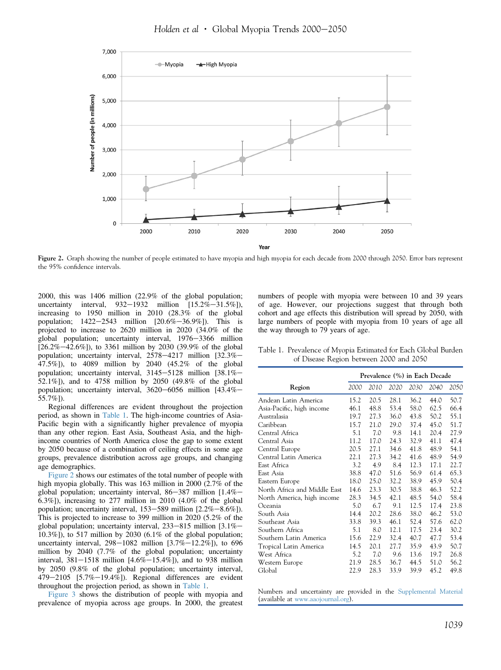Holden et al  $\cdot$  Global Myopia Trends 2000-2050

<span id="page-3-0"></span>

Figure 2. Graph showing the number of people estimated to have myopia and high myopia for each decade from 2000 through 2050. Error bars represent the 95% confidence intervals.

2000, this was 1406 million (22.9% of the global population; uncertainty interval,  $932-1932$  million  $[15.2\% - 31.5\%]$ ), increasing to 1950 million in 2010 (28.3% of the global population;  $1422-2543$  million  $[20.6\% - 36.9\%]$ . This is projected to increase to 2620 million in 2020 (34.0% of the global population; uncertainty interval, 1976-3366 million  $[26.2\% - 42.6\%]$ ), to 3361 million by 2030 (39.9% of the global population; uncertainty interval,  $2578-4217$  million  $[32.3\% -$ 47.5%]), to 4089 million by 2040 (45.2% of the global population; uncertainty interval,  $3145-5128$  million  $[38.1%]$ 52.1%]), and to 4758 million by 2050 (49.8% of the global population; uncertainty interval,  $3620-6056$  million  $[43.4\% -$ 55.7%]).

Regional differences are evident throughout the projection period, as shown in Table 1. The high-income countries of Asia-Pacific begin with a significantly higher prevalence of myopia than any other region. East Asia, Southeast Asia, and the highincome countries of North America close the gap to some extent by 2050 because of a combination of ceiling effects in some age groups, prevalence distribution across age groups, and changing age demographics.

Figure 2 shows our estimates of the total number of people with high myopia globally. This was 163 million in 2000 (2.7% of the global population; uncertainty interval,  $86-387$  million  $[1.4\% -]$ 6.3%]), increasing to 277 million in 2010 (4.0% of the global population; uncertainty interval,  $153-589$  million  $[2.2\% - 8.6\%]$ ). This is projected to increase to 399 million in 2020 (5.2% of the global population; uncertainty interval,  $233-815$  million  $[3.1\% -]$  $(10.3\%)$ , to 517 million by 2030 (6.1% of the global population; uncertainty interval,  $298-1082$  million  $[3.7\% -12.2\%]$ , to 696 million by 2040 (7.7% of the global population; uncertainty interval,  $381-1518$  million  $[4.6\% -15.4\%]$ , and to 938 million by 2050 (9.8% of the global population; uncertainty interval, 479 $-2105$  [5.7% $-19.4\%$ ]). Regional differences are evident throughout the projection period, as shown in Table 1.

[Figure 3](#page-4-0) shows the distribution of people with myopia and prevalence of myopia across age groups. In 2000, the greatest

numbers of people with myopia were between 10 and 39 years of age. However, our projections suggest that through both cohort and age effects this distribution will spread by 2050, with large numbers of people with myopia from 10 years of age all the way through to 79 years of age.

Table 1. Prevalence of Myopia Estimated for Each Global Burden of Disease Region between 2000 and 2050

|                              | Prevalence (%) in Each Decade |      |      |      |      |      |
|------------------------------|-------------------------------|------|------|------|------|------|
| Region                       | 2000                          | 2010 | 2020 | 2030 | 2040 | 2050 |
| Andean Latin America         | 15.2                          | 20.5 | 28.1 | 36.2 | 44.0 | 50.7 |
| Asia-Pacific, high income    | 46.1                          | 48.8 | 53.4 | 58.0 | 62.5 | 66.4 |
| Australasia                  | 19.7                          | 27.3 | 36.0 | 43.8 | 50.2 | 55.1 |
| Caribbean                    | 15.7                          | 21.0 | 29.0 | 37.4 | 45.0 | 51.7 |
| Central Africa               | 5.1                           | 7.0  | 9.8  | 14.1 | 20.4 | 27.9 |
| Central Asia                 | 11.2                          | 17.0 | 24.3 | 32.9 | 41.1 | 47.4 |
| Central Europe               | 20.5                          | 27.1 | 34.6 | 41.8 | 48.9 | 54.1 |
| Central Latin America        | 22.1                          | 27.3 | 34.2 | 41.6 | 48.9 | 54.9 |
| East Africa                  | 3.2                           | 4.9  | 8.4  | 12.3 | 17.1 | 22.7 |
| East Asia                    | 38.8                          | 47.0 | 51.6 | 56.9 | 61.4 | 65.3 |
| Eastern Europe               | 18.0                          | 25.0 | 32.2 | 38.9 | 45.9 | 50.4 |
| North Africa and Middle East | 14.6                          | 23.3 | 30.5 | 38.8 | 46.3 | 52.2 |
| North America, high income   | 28.3                          | 34.5 | 42.1 | 48.5 | 54.0 | 58.4 |
| Oceania                      | 5.0                           | 6.7  | 9.1  | 12.5 | 17.4 | 23.8 |
| South Asia                   | 14.4                          | 20.2 | 28.6 | 38.0 | 46.2 | 53.0 |
| Southeast Asia               | 33.8                          | 39.3 | 46.1 | 52.4 | 57.6 | 62.0 |
| Southern Africa              | 5.1                           | 8.0  | 12.1 | 17.5 | 23.4 | 30.2 |
| Southern Latin America       | 15.6                          | 22.9 | 32.4 | 40.7 | 47.7 | 53.4 |
| Tropical Latin America       | 14.5                          | 20.1 | 27.7 | 35.9 | 43.9 | 50.7 |
| West Africa                  | 5.2                           | 7.0  | 9.6  | 13.6 | 19.7 | 26.8 |
| Western Europe               | 21.9                          | 28.5 | 36.7 | 44.5 | 51.0 | 56.2 |
| Global                       | 22.9                          | 28.3 | 33.9 | 39.9 | 45.2 | 49.8 |

Numbers and uncertainty are provided in the Supplemental Material (available at [www.aaojournal.org\)](http://www.aaojournal.org).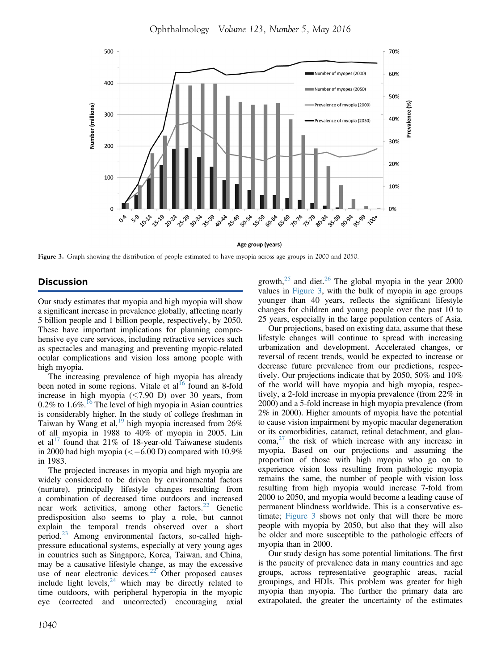Ophthalmology Volume 123, Number 5, May 2016

<span id="page-4-0"></span>

Age group (years)

Figure 3. Graph showing the distribution of people estimated to have myopia across age groups in 2000 and 2050.

#### Discussion

Our study estimates that myopia and high myopia will show a significant increase in prevalence globally, affecting nearly 5 billion people and 1 billion people, respectively, by 2050. These have important implications for planning comprehensive eye care services, including refractive services such as spectacles and managing and preventing myopic-related ocular complications and vision loss among people with high myopia.

The increasing prevalence of high myopia has already been noted in some regions. Vitale et  $al<sup>16</sup>$  $al<sup>16</sup>$  $al<sup>16</sup>$  found an 8-fold increase in high myopia  $(\leq 7.90 \text{ D})$  over 30 years, from  $0.2\%$  to  $1.6\%$ .<sup>[16](#page-6-0)</sup> The level of high myopia in Asian countries is considerably higher. In the study of college freshman in Taiwan by Wang et al,<sup>[19](#page-6-0)</sup> high myopia increased from  $26\%$ of all myopia in 1988 to 40% of myopia in 2005. Lin et al<sup>[17](#page-6-0)</sup> found that 21% of 18-year-old Taiwanese students in 2000 had high myopia ( $\lt$  -6.00 D) compared with 10.9% in 1983.

The projected increases in myopia and high myopia are widely considered to be driven by environmental factors (nurture), principally lifestyle changes resulting from a combination of decreased time outdoors and increased near work activities, among other factors.<sup>[22](#page-6-0)</sup> Genetic predisposition also seems to play a role, but cannot explain the temporal trends observed over a short period.[23](#page-6-0) Among environmental factors, so-called highpressure educational systems, especially at very young ages in countries such as Singapore, Korea, Taiwan, and China, may be a causative lifestyle change, as may the excessive use of near electronic devices. $22$  Other proposed causes include light levels, $^{24}$  $^{24}$  $^{24}$  which may be directly related to time outdoors, with peripheral hyperopia in the myopic eye (corrected and uncorrected) encouraging axial

growth, $25$  and diet. $26$  The global myopia in the year 2000 values in Figure 3, with the bulk of myopia in age groups younger than 40 years, reflects the significant lifestyle changes for children and young people over the past 10 to 25 years, especially in the large population centers of Asia.

Our projections, based on existing data, assume that these lifestyle changes will continue to spread with increasing urbanization and development. Accelerated changes, or reversal of recent trends, would be expected to increase or decrease future prevalence from our predictions, respectively. Our projections indicate that by 2050, 50% and 10% of the world will have myopia and high myopia, respectively, a 2-fold increase in myopia prevalence (from 22% in 2000) and a 5-fold increase in high myopia prevalence (from 2% in 2000). Higher amounts of myopia have the potential to cause vision impairment by myopic macular degeneration or its comorbidities, cataract, retinal detachment, and glau- $\text{coma}^{27}$  $\text{coma}^{27}$  $\text{coma}^{27}$  the risk of which increase with any increase in myopia. Based on our projections and assuming the proportion of those with high myopia who go on to experience vision loss resulting from pathologic myopia remains the same, the number of people with vision loss resulting from high myopia would increase 7-fold from 2000 to 2050, and myopia would become a leading cause of permanent blindness worldwide. This is a conservative estimate; Figure 3 shows not only that will there be more people with myopia by 2050, but also that they will also be older and more susceptible to the pathologic effects of myopia than in 2000.

Our study design has some potential limitations. The first is the paucity of prevalence data in many countries and age groups, across representative geographic areas, racial groupings, and HDIs. This problem was greater for high myopia than myopia. The further the primary data are extrapolated, the greater the uncertainty of the estimates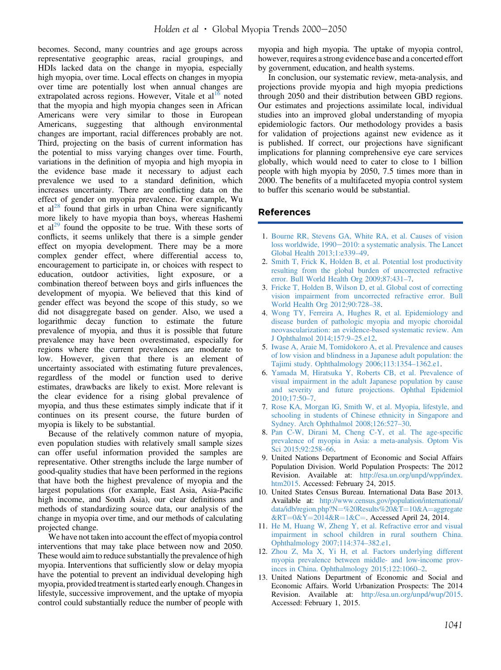<span id="page-5-0"></span>becomes. Second, many countries and age groups across representative geographic areas, racial groupings, and HDIs lacked data on the change in myopia, especially high myopia, over time. Local effects on changes in myopia over time are potentially lost when annual changes are extrapolated across regions. However, Vitale et  $al<sup>16</sup>$  $al<sup>16</sup>$  $al<sup>16</sup>$  noted that the myopia and high myopia changes seen in African Americans were very similar to those in European Americans, suggesting that although environmental changes are important, racial differences probably are not. Third, projecting on the basis of current information has the potential to miss varying changes over time. Fourth, variations in the definition of myopia and high myopia in the evidence base made it necessary to adjust each prevalence we used to a standard definition, which increases uncertainty. There are conflicting data on the effect of gender on myopia prevalence. For example, Wu et al<sup>[28](#page-6-0)</sup> found that girls in urban China were significantly more likely to have myopia than boys, whereas Hashemi et  $al^{29}$  $al^{29}$  $al^{29}$  found the opposite to be true. With these sorts of conflicts, it seems unlikely that there is a simple gender effect on myopia development. There may be a more complex gender effect, where differential access to, encouragement to participate in, or choices with respect to education, outdoor activities, light exposure, or a combination thereof between boys and girls influences the development of myopia. We believed that this kind of gender effect was beyond the scope of this study, so we did not disaggregate based on gender. Also, we used a logarithmic decay function to estimate the future prevalence of myopia, and thus it is possible that future prevalence may have been overestimated, especially for regions where the current prevalences are moderate to low. However, given that there is an element of uncertainty associated with estimating future prevalences, regardless of the model or function used to derive estimates, drawbacks are likely to exist. More relevant is the clear evidence for a rising global prevalence of myopia, and thus these estimates simply indicate that if it continues on its present course, the future burden of myopia is likely to be substantial.

Because of the relatively common nature of myopia, even population studies with relatively small sample sizes can offer useful information provided the samples are representative. Other strengths include the large number of good-quality studies that have been performed in the regions that have both the highest prevalence of myopia and the largest populations (for example, East Asia, Asia-Pacific high income, and South Asia), our clear definitions and methods of standardizing source data, our analysis of the change in myopia over time, and our methods of calculating projected change.

We have not taken into account the effect of myopia control interventions that may take place between now and 2050. These would aim to reduce substantially the prevalence of high myopia. Interventions that sufficiently slow or delay myopia have the potential to prevent an individual developing high myopia, provided treatment is started early enough. Changes in lifestyle, successive improvement, and the uptake of myopia control could substantially reduce the number of people with

myopia and high myopia. The uptake of myopia control, however, requires a strong evidence base and a concerted effort by government, education, and health systems.

In conclusion, our systematic review, meta-analysis, and projections provide myopia and high myopia predictions through 2050 and their distribution between GBD regions. Our estimates and projections assimilate local, individual studies into an improved global understanding of myopia epidemiologic factors. Our methodology provides a basis for validation of projections against new evidence as it is published. If correct, our projections have significant implications for planning comprehensive eye care services globally, which would need to cater to close to 1 billion people with high myopia by 2050, 7.5 times more than in 2000. The benefits of a multifaceted myopia control system to buffer this scenario would be substantial.

# References

- 1. [Bourne RR, Stevens GA, White RA, et al. Causes of vision](http://refhub.elsevier.com/S0161-6420(16)00025-7/sref1) [loss worldwide, 1990](http://refhub.elsevier.com/S0161-6420(16)00025-7/sref1)-[2010: a systematic analysis. The Lancet](http://refhub.elsevier.com/S0161-6420(16)00025-7/sref1) [Global Health 2013;1:e339](http://refhub.elsevier.com/S0161-6420(16)00025-7/sref1)–49.
- 2. [Smith T, Frick K, Holden B, et al. Potential lost productivity](http://refhub.elsevier.com/S0161-6420(16)00025-7/sref2) [resulting from the global burden of uncorrected refractive](http://refhub.elsevier.com/S0161-6420(16)00025-7/sref2) [error. Bull World Health Org 2009;87:431](http://refhub.elsevier.com/S0161-6420(16)00025-7/sref2)–7.
- 3. [Fricke T, Holden B, Wilson D, et al. Global cost of correcting](http://refhub.elsevier.com/S0161-6420(16)00025-7/sref3) [vision impairment from uncorrected refractive error. Bull](http://refhub.elsevier.com/S0161-6420(16)00025-7/sref3) [World Health Org 2012;90:728](http://refhub.elsevier.com/S0161-6420(16)00025-7/sref3)–38.
- 4. [Wong TY, Ferreira A, Hughes R, et al. Epidemiology and](http://refhub.elsevier.com/S0161-6420(16)00025-7/sref4) [disease burden of pathologic myopia and myopic choroidal](http://refhub.elsevier.com/S0161-6420(16)00025-7/sref4) [neovascularization: an evidence-based systematic review. Am](http://refhub.elsevier.com/S0161-6420(16)00025-7/sref4) [J Ophthalmol 2014;157:9](http://refhub.elsevier.com/S0161-6420(16)00025-7/sref4)–25.e12.
- 5. [Iwase A, Araie M, Tomidokoro A, et al. Prevalence and causes](http://refhub.elsevier.com/S0161-6420(16)00025-7/sref5) [of low vision and blindness in a Japanese adult population: the](http://refhub.elsevier.com/S0161-6420(16)00025-7/sref5) [Tajimi study. Ophthalmology 2006;113:1354](http://refhub.elsevier.com/S0161-6420(16)00025-7/sref5)–1362.e1.
- 6. [Yamada M, Hiratsuka Y, Roberts CB, et al. Prevalence of](http://refhub.elsevier.com/S0161-6420(16)00025-7/sref6) [visual impairment in the adult Japanese population by cause](http://refhub.elsevier.com/S0161-6420(16)00025-7/sref6) [and severity and future projections. Ophthal Epidemiol](http://refhub.elsevier.com/S0161-6420(16)00025-7/sref6) [2010;17:50](http://refhub.elsevier.com/S0161-6420(16)00025-7/sref6)–7.
- 7. [Rose KA, Morgan IG, Smith W, et al. Myopia, lifestyle, and](http://refhub.elsevier.com/S0161-6420(16)00025-7/sref7) [schooling in students of Chinese ethnicity in Singapore and](http://refhub.elsevier.com/S0161-6420(16)00025-7/sref7) [Sydney. Arch Ophthalmol 2008;126:527](http://refhub.elsevier.com/S0161-6420(16)00025-7/sref7)–30.
- 8. [Pan C-W, Dirani M, Cheng C-Y, et al. The age-speci](http://refhub.elsevier.com/S0161-6420(16)00025-7/sref8)fic [prevalence of myopia in Asia: a meta-analysis. Optom Vis](http://refhub.elsevier.com/S0161-6420(16)00025-7/sref8) [Sci 2015;92:258](http://refhub.elsevier.com/S0161-6420(16)00025-7/sref8)–66.
- 9. United Nations Department of Economic and Social Affairs Population Division. World Population Prospects: The 2012 Revision. Available at: [http://esa.un.org/unpd/wpp/index.](http://esa.un.org/unpd/wpp/index.htm2015) [htm2015.](http://esa.un.org/unpd/wpp/index.htm2015) Accessed: February 24, 2015.
- 10. United States Census Bureau. International Data Base 2013. Available at: [http://www.census.gov/population/international/](http://www.census.gov/population/international/data/idb/region.php?N=%20Results%20&T=10&A=aggregate&RT=0&Y=2014&R=1&C=) [data/idb/region.php?N](http://www.census.gov/population/international/data/idb/region.php?N=%20Results%20&T=10&A=aggregate&RT=0&Y=2014&R=1&C=)=[%20Results%20&T](http://www.census.gov/population/international/data/idb/region.php?N=%20Results%20&T=10&A=aggregate&RT=0&Y=2014&R=1&C=)=[10&A](http://www.census.gov/population/international/data/idb/region.php?N=%20Results%20&T=10&A=aggregate&RT=0&Y=2014&R=1&C=)=[aggregate](http://www.census.gov/population/international/data/idb/region.php?N=%20Results%20&T=10&A=aggregate&RT=0&Y=2014&R=1&C=)  $&RT=0&Y=2014&R=1&C=$  $&RT=0&Y=2014&R=1&C=$  $&RT=0&Y=2014&R=1&C=$  $&RT=0&Y=2014&R=1&C=$  $&RT=0&Y=2014&R=1&C=$  $&RT=0&Y=2014&R=1&C=$  $&RT=0&Y=2014&R=1&C=$  $&RT=0&Y=2014&R=1&C=$ . Accessed April 24, 2014.
- 11. [He M, Huang W, Zheng Y, et al. Refractive error and visual](http://refhub.elsevier.com/S0161-6420(16)00025-7/sref11) [impairment in school children in rural southern China.](http://refhub.elsevier.com/S0161-6420(16)00025-7/sref11) [Ophthalmology 2007;114:374](http://refhub.elsevier.com/S0161-6420(16)00025-7/sref11)–382.e1.
- 12. [Zhou Z, Ma X, Yi H, et al. Factors underlying different](http://refhub.elsevier.com/S0161-6420(16)00025-7/sref12) [myopia prevalence between middle- and low-income prov](http://refhub.elsevier.com/S0161-6420(16)00025-7/sref12)[inces in China. Ophthalmology 2015;122:1060](http://refhub.elsevier.com/S0161-6420(16)00025-7/sref12)–2.
- 13. United Nations Department of Economic and Social and Economic Affairs. World Urbanization Prospects: The 2014 Revision. Available at: <http://esa.un.org/unpd/wup/2015>. Accessed: February 1, 2015.